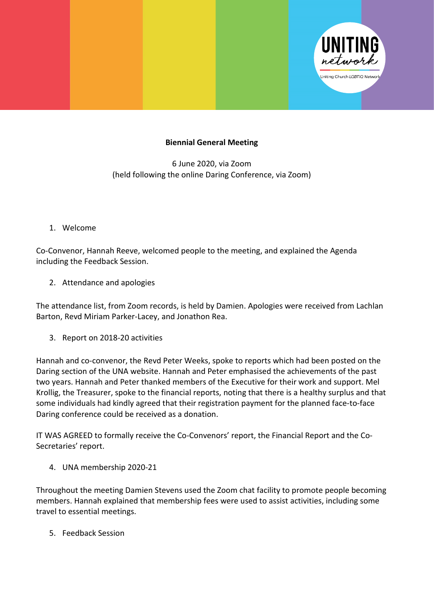

## **Biennial General Meeting**

6 June 2020, via Zoom (held following the online Daring Conference, via Zoom)

1. Welcome

Co-Convenor, Hannah Reeve, welcomed people to the meeting, and explained the Agenda including the Feedback Session.

2. Attendance and apologies

The attendance list, from Zoom records, is held by Damien. Apologies were received from Lachlan Barton, Revd Miriam Parker-Lacey, and Jonathon Rea.

3. Report on 2018-20 activities

Hannah and co-convenor, the Revd Peter Weeks, spoke to reports which had been posted on the Daring section of the UNA website. Hannah and Peter emphasised the achievements of the past two years. Hannah and Peter thanked members of the Executive for their work and support. Mel Krollig, the Treasurer, spoke to the financial reports, noting that there is a healthy surplus and that some individuals had kindly agreed that their registration payment for the planned face-to-face Daring conference could be received as a donation.

IT WAS AGREED to formally receive the Co-Convenors' report, the Financial Report and the Co-Secretaries' report.

4. UNA membership 2020-21

Throughout the meeting Damien Stevens used the Zoom chat facility to promote people becoming members. Hannah explained that membership fees were used to assist activities, including some travel to essential meetings.

5. Feedback Session